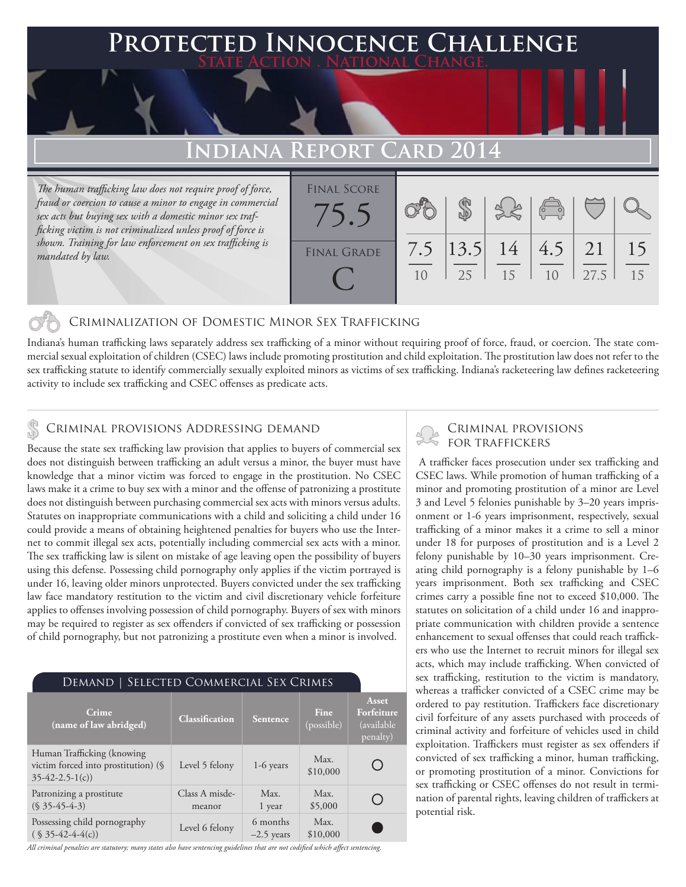## **FED INNOCENCE CHALLENGE State Action . National Change.**

# **INDIANA REPORT**

*The human trafficking law does not require proof of force, fraud or coercion to cause a minor to engage in commercial sex acts but buying sex with a domestic minor sex trafficking victim is not criminalized unless proof of force is shown. Training for law enforcement on sex trafficking is mandated by law.*

| <b>FINAL SCORE</b> |           |                   |    | $\sqrt{\frac{1}{10}}$ |      |          |
|--------------------|-----------|-------------------|----|-----------------------|------|----------|
| <b>FINAL GRADE</b> | 7.5<br>10 | $ 13.5 $ 14<br>25 | 15 | $4.5$   21            | 27.5 | 15<br>15 |

### Criminalization of Domestic Minor Sex Trafficking

Indiana's human trafficking laws separately address sex trafficking of a minor without requiring proof of force, fraud, or coercion. The state commercial sexual exploitation of children (CSEC) laws include promoting prostitution and child exploitation. The prostitution law does not refer to the sex trafficking statute to identify commercially sexually exploited minors as victims of sex trafficking. Indiana's racketeering law defines racketeering activity to include sex trafficking and CSEC offenses as predicate acts.

# CRIMINAL PROVISIONS ADDRESSING DEMAND<br>Receives the state sex trafficking law provision that englise to buyer of commercial sex FOR TRAFFICKERS

Because the state sex trafficking law provision that applies to buyers of commercial sex does not distinguish between trafficking an adult versus a minor, the buyer must have knowledge that a minor victim was forced to engage in the prostitution. No CSEC laws make it a crime to buy sex with a minor and the offense of patronizing a prostitute does not distinguish between purchasing commercial sex acts with minors versus adults. Statutes on inappropriate communications with a child and soliciting a child under 16 could provide a means of obtaining heightened penalties for buyers who use the Internet to commit illegal sex acts, potentially including commercial sex acts with a minor. The sex trafficking law is silent on mistake of age leaving open the possibility of buyers using this defense. Possessing child pornography only applies if the victim portrayed is under 16, leaving older minors unprotected. Buyers convicted under the sex trafficking law face mandatory restitution to the victim and civil discretionary vehicle forfeiture applies to offenses involving possession of child pornography. Buyers of sex with minors may be required to register as sex offenders if convicted of sex trafficking or possession of child pornography, but not patronizing a prostitute even when a minor is involved.

| DEMAND   SELECTED COMMERCIAL SEX CRIMES                                                |                          |                          |                    |                                                |  |  |  |  |
|----------------------------------------------------------------------------------------|--------------------------|--------------------------|--------------------|------------------------------------------------|--|--|--|--|
| Crime<br>(name of law abridged)                                                        | <b>Classification</b>    | <b>Sentence</b>          | Fine<br>(possible) | Asset<br>Forfeiture<br>(available)<br>penalty) |  |  |  |  |
| Human Trafficking (knowing)<br>victim forced into prostitution) (§<br>$35-42-2.5-1(c)$ | Level 5 felony           | $1-6$ years              | Max.<br>\$10,000   |                                                |  |  |  |  |
| Patronizing a prostitute<br>$(S\,35-45-4-3)$                                           | Class A misde-<br>meanor | Max.<br>1 year           | Max.<br>\$5,000    |                                                |  |  |  |  |
| Possessing child pornography<br>$(S35-42-4-4(c))$                                      | Level 6 felony           | 6 months<br>$-2.5$ years | Max.<br>\$10,000   |                                                |  |  |  |  |

*All criminal penalties are statutory; many states also have sentencing guidelines that are not codified which affect sentencing.* 

 A trafficker faces prosecution under sex trafficking and CSEC laws. While promotion of human trafficking of a minor and promoting prostitution of a minor are Level 3 and Level 5 felonies punishable by 3–20 years imprisonment or 1-6 years imprisonment, respectively, sexual trafficking of a minor makes it a crime to sell a minor under 18 for purposes of prostitution and is a Level 2 felony punishable by 10–30 years imprisonment. Creating child pornography is a felony punishable by 1–6 years imprisonment. Both sex trafficking and CSEC crimes carry a possible fine not to exceed \$10,000. The statutes on solicitation of a child under 16 and inappropriate communication with children provide a sentence enhancement to sexual offenses that could reach traffickers who use the Internet to recruit minors for illegal sex acts, which may include trafficking. When convicted of sex trafficking, restitution to the victim is mandatory, whereas a trafficker convicted of a CSEC crime may be ordered to pay restitution. Traffickers face discretionary civil forfeiture of any assets purchased with proceeds of criminal activity and forfeiture of vehicles used in child exploitation. Traffickers must register as sex offenders if convicted of sex trafficking a minor, human trafficking, or promoting prostitution of a minor. Convictions for sex trafficking or CSEC offenses do not result in termination of parental rights, leaving children of traffickers at potential risk.